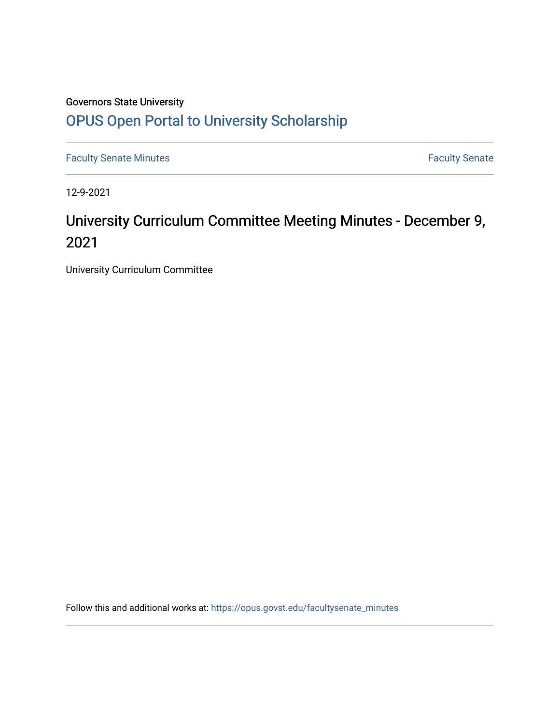# Governors State University [OPUS Open Portal to University Scholarship](https://opus.govst.edu/)

[Faculty Senate Minutes](https://opus.govst.edu/facultysenate_minutes) **Faculty** Senate Minutes

12-9-2021

# University Curriculum Committee Meeting Minutes - December 9, 2021

University Curriculum Committee

Follow this and additional works at: [https://opus.govst.edu/facultysenate\\_minutes](https://opus.govst.edu/facultysenate_minutes?utm_source=opus.govst.edu%2Ffacultysenate_minutes%2F209&utm_medium=PDF&utm_campaign=PDFCoverPages)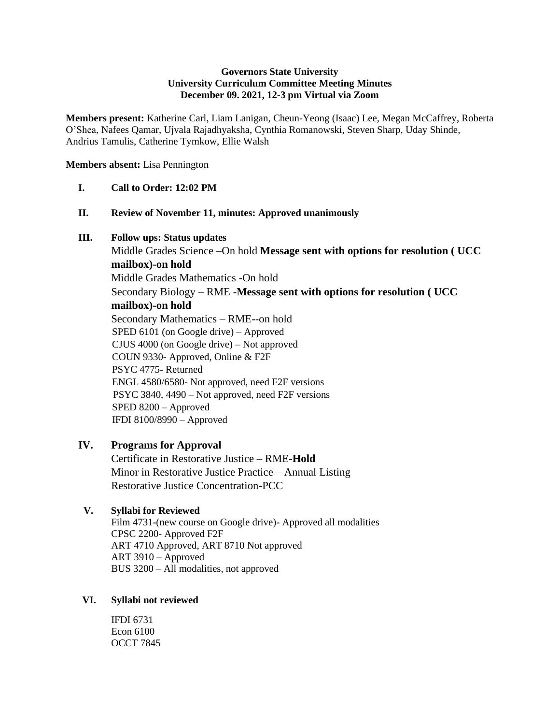#### **Governors State University University Curriculum Committee Meeting Minutes December 09. 2021, 12-3 pm Virtual via Zoom**

**Members present:** Katherine Carl, Liam Lanigan, Cheun-Yeong (Isaac) Lee, Megan McCaffrey, Roberta O'Shea, Nafees Qamar, Ujvala Rajadhyaksha, Cynthia Romanowski, Steven Sharp, Uday Shinde, Andrius Tamulis, Catherine Tymkow, Ellie Walsh

**Members absent:** Lisa Pennington

#### **I. Call to Order: 12:02 PM**

**II. Review of November 11, minutes: Approved unanimously**

#### **III. Follow ups: Status updates**

Middle Grades Science –On hold **Message sent with options for resolution ( UCC mailbox)-on hold** Middle Grades Mathematics -On hold Secondary Biology – RME -**Message sent with options for resolution ( UCC mailbox)-on hold** Secondary Mathematics – RME--on hold SPED 6101 (on Google drive) – Approved CJUS 4000 (on Google drive) – Not approved COUN 9330- Approved, Online & F2F PSYC 4775- Returned ENGL 4580/6580- Not approved, need F2F versions PSYC 3840, 4490 – Not approved, need F2F versions SPED 8200 – Approved IFDI 8100/8990 – Approved

## **IV. Programs for Approval**

Certificate in Restorative Justice – RME-**Hold** Minor in Restorative Justice Practice – Annual Listing Restorative Justice Concentration-PCC

## **V. Syllabi for Reviewed**

Film 4731-(new course on Google drive)- Approved all modalities CPSC 2200- Approved F2F ART 4710 Approved, ART 8710 Not approved ART 3910 – Approved BUS 3200 – All modalities, not approved

#### **VI. Syllabi not reviewed**

IFDI 6731 Econ 6100 OCCT 7845